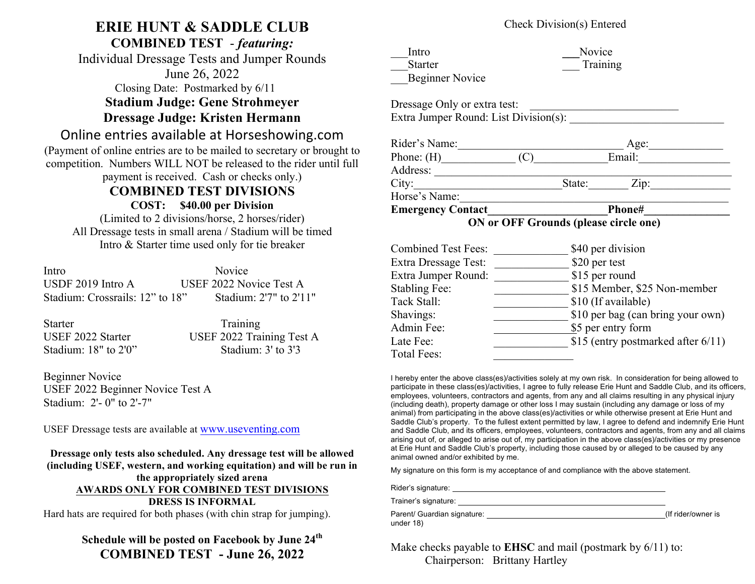# **ERIE HUNT & SADDLE CLUB**

**COMBINED TEST** - *featuring:*

Individual Dressage Tests and Jumper Rounds June 26, 2022 Closing Date: Postmarked by 6/11

**Stadium Judge: Gene Strohmeyer**

**Dressage Judge: Kristen Hermann**

## Online entries available at Horseshowing.com

(Payment of online entries are to be mailed to secretary or brought to competition. Numbers WILL NOT be released to the rider until full payment is received. Cash or checks only.)

### **COMBINED TEST DIVISIONS**

**COST: \$40.00 per Division**

(Limited to 2 divisions/horse, 2 horses/rider) All Dressage tests in small arena / Stadium will be timed Intro & Starter time used only for tie breaker

| Intro                           | <b>Novice</b>           |
|---------------------------------|-------------------------|
| USDF $2019$ Intro A             | USEF 2022 Novice Test A |
| Stadium: Crossrails: 12" to 18" | Stadium: 2'7" to 2'11"  |

| Starter                  | Training                  |
|--------------------------|---------------------------|
| USEF 2022 Starter        | USEF 2022 Training Test A |
| Stadium: $18"$ to $2'0"$ | Stadium: $3'$ to $3'3$    |

Beginner Novice USEF 2022 Beginner Novice Test A Stadium: 2'- 0" to 2'-7"

USEF Dressage tests are available at www.useventing.com

**Dressage only tests also scheduled. Any dressage test will be allowed (including USEF, western, and working equitation) and will be run in the appropriately sized arena AWARDS ONLY FOR COMBINED TEST DIVISIONS DRESS IS INFORMAL** Hard hats are required for both phases (with chin strap for jumping).

### **Schedule will be posted on Facebook by June 24th COMBINED TEST - June 26, 2022**

#### Check Division(s) Entered

| Intro                  | <b>Novice</b> |
|------------------------|---------------|
| <b>Starter</b>         | Training      |
| <b>Beginner Novice</b> |               |

| Dressage Only or extra test:          |  |
|---------------------------------------|--|
| Extra Jumper Round: List Division(s): |  |

| Rider's Name: | Age:                         |
|---------------|------------------------------|
| Phone: $(H)$  | Email:                       |
| Address:      |                              |
| City:         | State:<br>$\overline{Lip}$ : |
| Horse's Name: |                              |
|               |                              |

Emergency Contact Phone#

 **ON or OFF Grounds (please circle one)**

| <b>Combined Test Fees:</b>  | \$40 per division                  |
|-----------------------------|------------------------------------|
| <b>Extra Dressage Test:</b> | \$20 per test                      |
| Extra Jumper Round:         | \$15 per round                     |
| <b>Stabling Fee:</b>        | \$15 Member, \$25 Non-member       |
| Tack Stall:                 | \$10 (If available)                |
| Shavings:                   | \$10 per bag (can bring your own)  |
| Admin Fee:                  | \$5 per entry form                 |
| Late Fee:                   | \$15 (entry postmarked after 6/11) |
| Total Fees:                 |                                    |

I hereby enter the above class(es)/activities solely at my own risk. In consideration for being allowed to participate in these class(es)/activities, I agree to fully release Erie Hunt and Saddle Club, and its officers, employees, volunteers, contractors and agents, from any and all claims resulting in any physical injury (including death), property damage or other loss I may sustain (including any damage or loss of my animal) from participating in the above class(es)/activities or while otherwise present at Erie Hunt and Saddle Club's property. To the fullest extent permitted by law, I agree to defend and indemnify Erie Hunt and Saddle Club, and its officers, employees, volunteers, contractors and agents, from any and all claims arising out of, or alleged to arise out of, my participation in the above class(es)/activities or my presence at Erie Hunt and Saddle Club's property, including those caused by or alleged to be caused by any animal owned and/or exhibited by me.

My signature on this form is my acceptance of and compliance with the above statement.

Rider's signature:

Trainer's signature:

| Parent/ Guardian signature: |  |
|-----------------------------|--|
| under 18)                   |  |

(If rider/owner is

Make checks payable to **EHSC** and mail (postmark by  $6/11$ ) to: Chairperson: Brittany Hartley